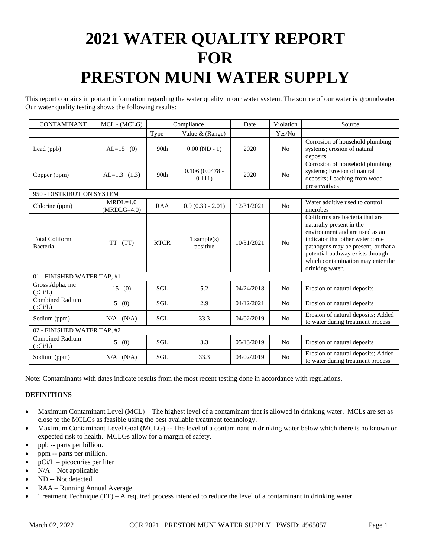# **2021 WATER QUALITY REPORT FOR PRESTON MUNI WATER SUPPLY**

This report contains important information regarding the water quality in our water system. The source of our water is groundwater. Our water quality testing shows the following results:

| <b>CONTAMINANT</b>                | MCL - (MCLG)                  | Compliance       |                            | Date       | Violation      | Source                                                                                                                                                                                                                                                              |
|-----------------------------------|-------------------------------|------------------|----------------------------|------------|----------------|---------------------------------------------------------------------------------------------------------------------------------------------------------------------------------------------------------------------------------------------------------------------|
|                                   |                               | Type             | Value & (Range)            |            | Yes/No         |                                                                                                                                                                                                                                                                     |
| Lead (ppb)                        | $AL=15$ (0)                   | 90th             | $0.00(ND-1)$               | 2020       | N <sub>o</sub> | Corrosion of household plumbing<br>systems; erosion of natural<br>deposits                                                                                                                                                                                          |
| Copper (ppm)                      | $AL=1.3$ (1.3)                | 90 <sub>th</sub> | $0.106(0.0478 -$<br>0.111) | 2020       | N <sub>o</sub> | Corrosion of household plumbing<br>systems; Erosion of natural<br>deposits; Leaching from wood<br>preservatives                                                                                                                                                     |
| 950 - DISTRIBUTION SYSTEM         |                               |                  |                            |            |                |                                                                                                                                                                                                                                                                     |
| Chlorine (ppm)                    | $MRDI = 4.0$<br>$(MRDLG=4.0)$ | <b>RAA</b>       | $0.9(0.39 - 2.01)$         | 12/31/2021 | N <sub>0</sub> | Water additive used to control<br>microbes                                                                                                                                                                                                                          |
| <b>Total Coliform</b><br>Bacteria | (TT)<br><b>TT</b>             | <b>RTCR</b>      | $1$ sample(s)<br>positive  | 10/31/2021 | N <sub>o</sub> | Coliforms are bacteria that are<br>naturally present in the<br>environment and are used as an<br>indicator that other waterborne<br>pathogens may be present, or that a<br>potential pathway exists through<br>which contamination may enter the<br>drinking water. |
| 01 - FINISHED WATER TAP, #1       |                               |                  |                            |            |                |                                                                                                                                                                                                                                                                     |
| Gross Alpha, inc<br>(pCi/L)       | 15(0)                         | SGL              | 5.2                        | 04/24/2018 | N <sub>0</sub> | Erosion of natural deposits                                                                                                                                                                                                                                         |
| <b>Combined Radium</b><br>(pCi/L) | 5<br>(0)                      | SGL              | 2.9                        | 04/12/2021 | N <sub>o</sub> | Erosion of natural deposits                                                                                                                                                                                                                                         |
| Sodium (ppm)                      | $N/A$ $(N/A)$                 | <b>SGL</b>       | 33.3                       | 04/02/2019 | N <sub>o</sub> | Erosion of natural deposits; Added<br>to water during treatment process                                                                                                                                                                                             |
| 02 - FINISHED WATER TAP, #2       |                               |                  |                            |            |                |                                                                                                                                                                                                                                                                     |
| <b>Combined Radium</b><br>(pCi/L) | 5(0)                          | <b>SGL</b>       | 3.3                        | 05/13/2019 | N <sub>o</sub> | Erosion of natural deposits                                                                                                                                                                                                                                         |
| Sodium (ppm)                      | $N/A$ $(N/A)$                 | <b>SGL</b>       | 33.3                       | 04/02/2019 | N <sub>0</sub> | Erosion of natural deposits; Added<br>to water during treatment process                                                                                                                                                                                             |

Note: Contaminants with dates indicate results from the most recent testing done in accordance with regulations.

# **DEFINITIONS**

- Maximum Contaminant Level (MCL) The highest level of a contaminant that is allowed in drinking water. MCLs are set as close to the MCLGs as feasible using the best available treatment technology.
- Maximum Contaminant Level Goal (MCLG) -- The level of a contaminant in drinking water below which there is no known or expected risk to health. MCLGs allow for a margin of safety.
- ppb -- parts per billion.
- ppm -- parts per million.
- $pCi/L$  picocuries per liter
- $N/A Not applicable$
- ND -- Not detected
- RAA Running Annual Average
- Treatment Technique (TT) A required process intended to reduce the level of a contaminant in drinking water.